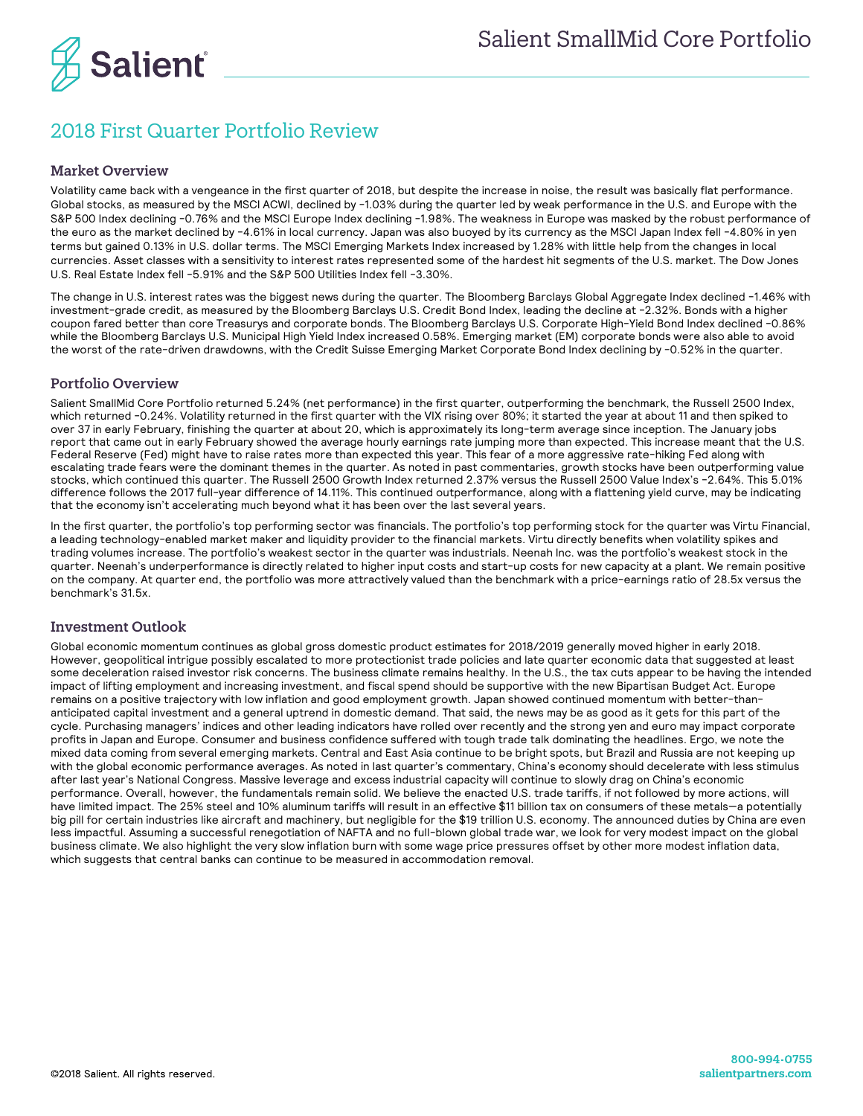

## 2018 First Quarter Portfolio Review

## Market Overview

Volatility came back with a vengeance in the first quarter of 2018, but despite the increase in noise, the result was basically flat performance. Global stocks, as measured by the MSCI ACWI, declined by -1.03% during the quarter led by weak performance in the U.S. and Europe with the S&P 500 Index declining -0.76% and the MSCI Europe Index declining -1.98%. The weakness in Europe was masked by the robust performance of the euro as the market declined by -4.61% in local currency. Japan was also buoyed by its currency as the MSCI Japan Index fell -4.80% in yen terms but gained 0.13% in U.S. dollar terms. The MSCI Emerging Markets Index increased by 1.28% with little help from the changes in local currencies. Asset classes with a sensitivity to interest rates represented some of the hardest hit segments of the U.S. market. The Dow Jones U.S. Real Estate Index fell -5.91% and the S&P 500 Utilities Index fell -3.30%.

The change in U.S. interest rates was the biggest news during the quarter. The Bloomberg Barclays Global Aggregate Index declined -1.46% with investment-grade credit, as measured by the Bloomberg Barclays U.S. Credit Bond Index, leading the decline at -2.32%. Bonds with a higher coupon fared better than core Treasurys and corporate bonds. The Bloomberg Barclays U.S. Corporate High-Yield Bond Index declined -0.86% while the Bloomberg Barclays U.S. Municipal High Yield Index increased 0.58%. Emerging market (EM) corporate bonds were also able to avoid the worst of the rate-driven drawdowns, with the Credit Suisse Emerging Market Corporate Bond Index declining by -0.52% in the quarter.

## Portfolio Overview

Salient SmallMid Core Portfolio returned 5.24% (net performance) in the first quarter, outperforming the benchmark, the Russell 2500 Index, which returned -0.24%. Volatility returned in the first quarter with the VIX rising over 80%; it started the year at about 11 and then spiked to over 37 in early February, finishing the quarter at about 20, which is approximately its long-term average since inception. The January jobs report that came out in early February showed the average hourly earnings rate jumping more than expected. This increase meant that the U.S. Federal Reserve (Fed) might have to raise rates more than expected this year. This fear of a more aggressive rate-hiking Fed along with escalating trade fears were the dominant themes in the quarter. As noted in past commentaries, growth stocks have been outperforming value stocks, which continued this quarter. The Russell 2500 Growth Index returned 2.37% versus the Russell 2500 Value Index's -2.64%. This 5.01% difference follows the 2017 full-year difference of 14.11%. This continued outperformance, along with a flattening yield curve, may be indicating that the economy isn't accelerating much beyond what it has been over the last several years.

In the first quarter, the portfolio's top performing sector was financials. The portfolio's top performing stock for the quarter was Virtu Financial, a leading technology-enabled market maker and liquidity provider to the financial markets. Virtu directly benefits when volatility spikes and trading volumes increase. The portfolio's weakest sector in the quarter was industrials. Neenah Inc. was the portfolio's weakest stock in the quarter. Neenah's underperformance is directly related to higher input costs and start-up costs for new capacity at a plant. We remain positive on the company. At quarter end, the portfolio was more attractively valued than the benchmark with a price-earnings ratio of 28.5x versus the benchmark's 31.5x.

## Investment Outlook

Global economic momentum continues as global gross domestic product estimates for 2018/2019 generally moved higher in early 2018. However, geopolitical intrigue possibly escalated to more protectionist trade policies and late quarter economic data that suggested at least some deceleration raised investor risk concerns. The business climate remains healthy. In the U.S., the tax cuts appear to be having the intended impact of lifting employment and increasing investment, and fiscal spend should be supportive with the new Bipartisan Budget Act. Europe remains on a positive trajectory with low inflation and good employment growth. Japan showed continued momentum with better-thananticipated capital investment and a general uptrend in domestic demand. That said, the news may be as good as it gets for this part of the cycle. Purchasing managers' indices and other leading indicators have rolled over recently and the strong yen and euro may impact corporate profits in Japan and Europe. Consumer and business confidence suffered with tough trade talk dominating the headlines. Ergo, we note the mixed data coming from several emerging markets. Central and East Asia continue to be bright spots, but Brazil and Russia are not keeping up with the global economic performance averages. As noted in last quarter's commentary, China's economy should decelerate with less stimulus after last year's National Congress. Massive leverage and excess industrial capacity will continue to slowly drag on China's economic performance. Overall, however, the fundamentals remain solid. We believe the enacted U.S. trade tariffs, if not followed by more actions, will have limited impact. The 25% steel and 10% aluminum tariffs will result in an effective \$11 billion tax on consumers of these metals—a potentially big pill for certain industries like aircraft and machinery, but negligible for the \$19 trillion U.S. economy. The announced duties by China are even less impactful. Assuming a successful renegotiation of NAFTA and no full-blown global trade war, we look for very modest impact on the global business climate. We also highlight the very slow inflation burn with some wage price pressures offset by other more modest inflation data, which suggests that central banks can continue to be measured in accommodation removal.